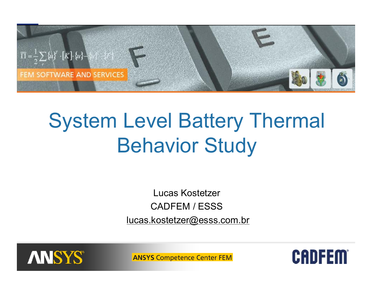

# System Level Battery Thermal Behavior Study

Lucas Kostetzer CADFEM / ESSS [lucas.kostetzer@esss.com.br](mailto:lucas.kostetzer@esss.com.br)



**ANSYS Competence Center FEM** 

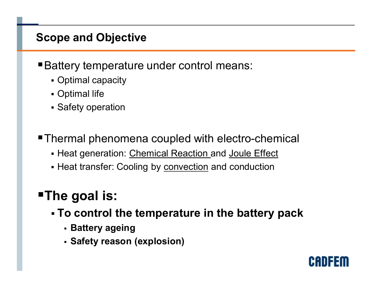# **Scope and Objective**

**Battery temperature under control means:** 

- Optimal capacity
- Optimal life
- **Safety operation**
- Thermal phenomena coupled with electro-chemical
	- Heat generation: Chemical Reaction and Joule Effect
	- Heat transfer: Cooling by convection and conduction

# ß**The goal is:**

- ß **To control the temperature in the battery pack**
	- <sup>ß</sup> **Battery ageing**
	- <sup>ß</sup> **Safety reason (explosion)**

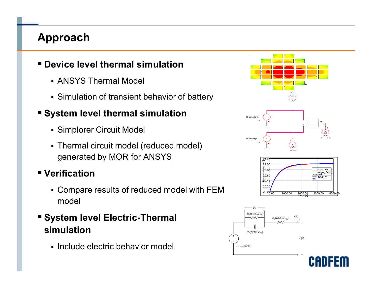# **Approach**

#### ß **Device level thermal simulation**

- **ANSYS Thermal Model**
- **Simulation of transient behavior of battery**

# ß **System level thermal simulation**

- **Simplorer Circuit Model**
- Thermal circuit model (reduced model) generated by MOR for ANSYS

### ß **Verification**

- ß Compare results of reduced model with FEM model
- ß **System level Electric-Thermal simulation**
	- ß Include electric behavior model





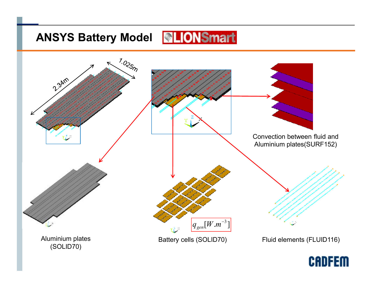# **ANSYS Battery Model**



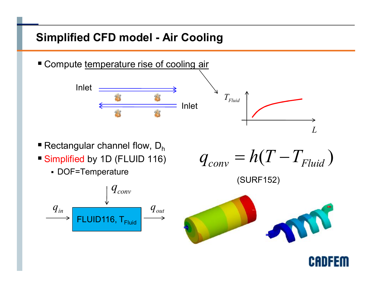# **Simplified CFD model - Air Cooling**

Compute temperature rise of cooling air



- Rectangular channel flow,  $D_h$
- **Simplified by 1D (FLUID 116)** 
	- DOF=Temperature



$$
q_{conv} = h(T - T_{Fluid})
$$

(SURF152)



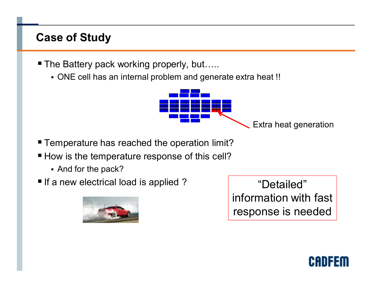# **Case of Study**

- The Battery pack working properly, but…..
	- ONE cell has an internal problem and generate extra heat !!



- Temperature has reached the operation limit?
- How is the temperature response of this cell?
	- And for the pack?
- **If a new electrical load is applied?**



"Detailed" information with fast response is needed

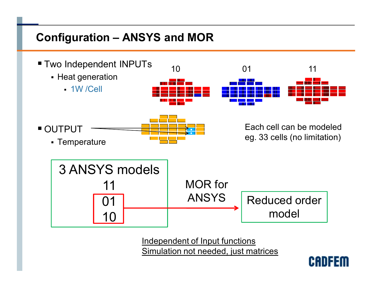# **Configuration – ANSYS and MOR**



Independent of Input functions Simulation not needed, just matrices

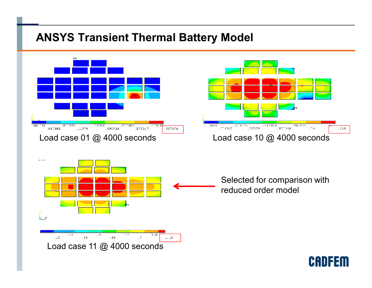# **ANSYS Transient Thermal Battery Model**

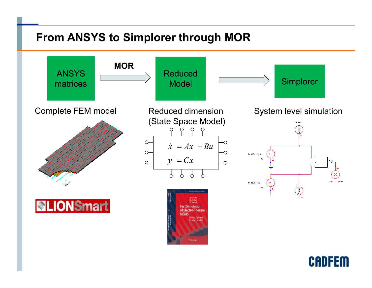# **From ANSYS to Simplorer through MOR**



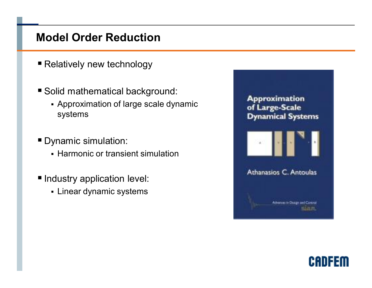## **Model Order Reduction**

- Relatively new technology
- Solid mathematical background:
	- **Approximation of large scale dynamic** systems
- **Dynamic simulation:** 
	- **Harmonic or transient simulation**
- **Industry application level:** 
	- **Linear dynamic systems**



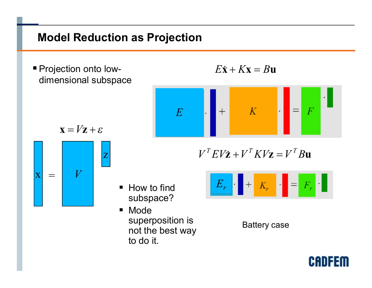# **Model Reduction as Projection**

 $\blacksquare$  How to find

**Mode** 

to do it.

subspace?

superposition is

not the best way

**Projection onto low**dimensional subspace

$$
E\dot{\mathbf{x}} + K\mathbf{x} = B\mathbf{u}
$$



$$
\mathbf{x} = V\mathbf{z} + \varepsilon
$$



 $V^T E V \dot{\mathbf{z}} + V^T K V \mathbf{z} = V^T B \mathbf{u}$ 



Battery case

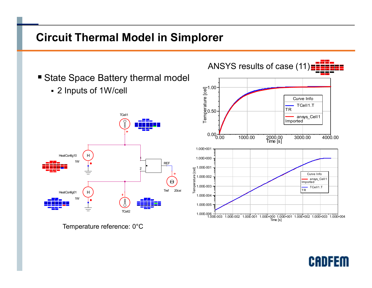# **Circuit Thermal Model in Simplorer**



**CADFEM**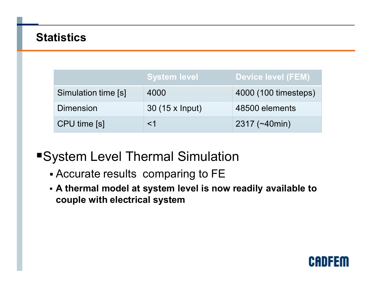# **Statistics**

|                     | <b>System level</b> | Device level (FEM)   |
|---------------------|---------------------|----------------------|
| Simulation time [s] | 4000                | 4000 (100 timesteps) |
| <b>Dimension</b>    | 30 (15 x lnput)     | 48500 elements       |
| CPU time [s]        | $<$ 1               | $2317$ (~40min)      |

**System Level Thermal Simulation** 

- Accurate results comparing to FE
- ß **A thermal model at system level is now readily available to couple with electrical system**

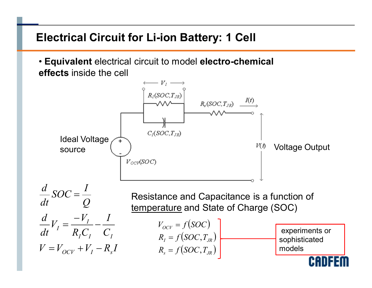# **Electrical Circuit for Li-ion Battery: 1 Cell**

• **Equivalent** electrical circuit to model **electro-chemical effects** inside the cell

 $\longrightarrow V_1 \longrightarrow$  $R_I(SOC,T_{JR})$  $R_{\varepsilon}(SOC,T_{JR}) \xrightarrow{I(t)}$  $C_l(SOC,T_{JR})$ Ideal Voltage source  $\begin{pmatrix} 1 & 1 \end{pmatrix}$  source  $\begin{pmatrix} V(t) & V_1(t) \end{pmatrix}$  $V_{OCV}$ (SOC)

$$
\frac{d}{dt} SOC = \frac{I}{Q}
$$
 Resistance and Capacitance is a function of  
\ntemperature and State of Charge (SOC)  
\n
$$
\frac{d}{dt} V_I = \frac{-V_I}{R_I C_I} - \frac{I}{C_I}
$$
\n
$$
V_{OCV} = f(SOC)
$$
\n
$$
V_{A_I} = f(SOC, T_{JR})
$$
\n
$$
V = V_{OCV} + V_I - R_s I
$$
\n
$$
R_s = f(SOC, T_{JR})
$$
\n
$$
R_s = f(SOC, T_{JR})
$$
\n
$$
R_s = f(SOC, T_{JR})
$$

experiments or sophisticated models

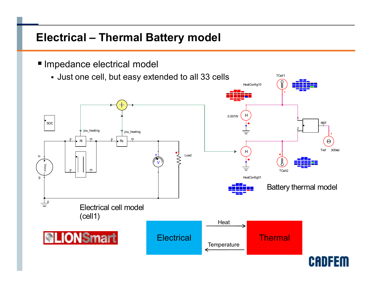# **Electrical – Thermal Battery model**

**Impedance electrical model** 

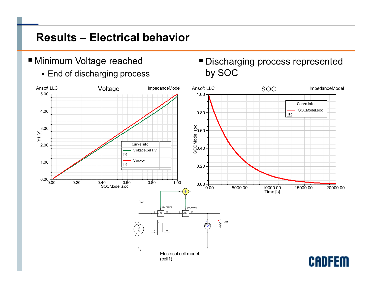# **Results – Electrical behavior**

- **Minimum Voltage reached** 
	- **End of discharging process**

**Discharging process represented** by SOC

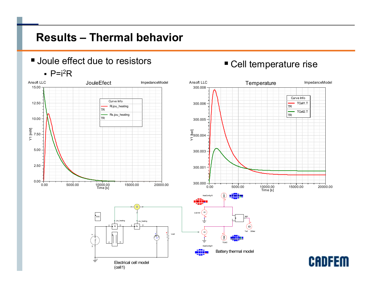# **Results – Thermal behavior**

**Joule effect due to resistors** 

#### $\cdot$  P=i<sup>2</sup>R



#### **Cell temperature rise**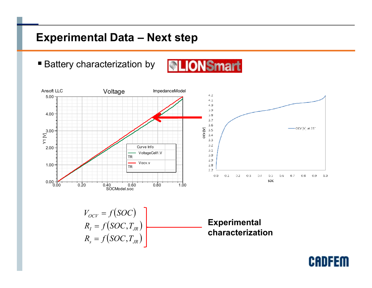# **Experimental Data – Next step**

■ Battery characterization by